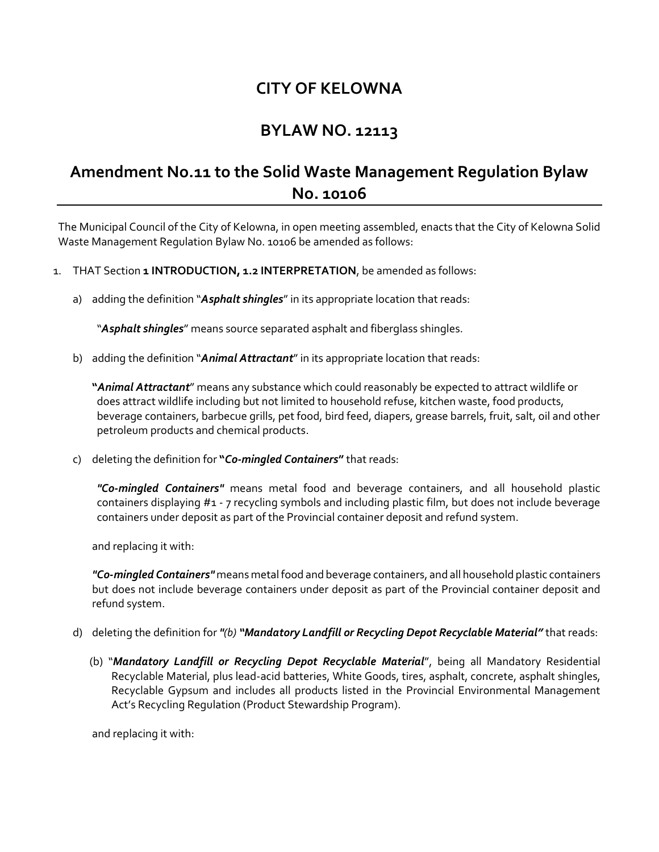## **CITY OF KELOWNA**

## **BYLAW NO. 12113**

## **Amendment No.11 to the Solid Waste Management Regulation Bylaw No. 10106**

The Municipal Council of the City of Kelowna, in open meeting assembled, enacts that the City of Kelowna Solid Waste Management Regulation Bylaw No. 10106 be amended as follows:

- 1. THAT Section **1 INTRODUCTION, 1.2 INTERPRETATION**, be amended as follows:
	- a) adding the definition "*Asphalt shingles*"in its appropriate location that reads:

"*Asphalt shingles*" means source separated asphalt and fiberglass shingles.

b) adding the definition "*Animal Attractant*"in its appropriate location that reads:

**"***Animal Attractant*" means any substance which could reasonably be expected to attract wildlife or does attract wildlife including but not limited to household refuse, kitchen waste, food products, beverage containers, barbecue grills, pet food, bird feed, diapers, grease barrels, fruit, salt, oil and other petroleum products and chemical products.

c) deleting the definition for **"***Co-mingled Containers***"** that reads:

*"Co-mingled Containers"* means metal food and beverage containers, and all household plastic containers displaying #1 - 7 recycling symbols and including plastic film, but does not include beverage containers under deposit as part of the Provincial container deposit and refund system.

and replacing it with:

*"Co-mingled Containers"* means metal food and beverage containers, and all household plastic containers but does not include beverage containers under deposit as part of the Provincial container deposit and refund system.

- d) deleting the definition for *"(b) "Mandatory Landfill or Recycling Depot Recyclable Material"* that reads:
	- (b) "*Mandatory Landfill or Recycling Depot Recyclable Material*", being all Mandatory Residential Recyclable Material, plus lead-acid batteries, White Goods, tires, asphalt, concrete, asphalt shingles, Recyclable Gypsum and includes all products listed in the Provincial Environmental Management Act's Recycling Regulation (Product Stewardship Program).

and replacing it with: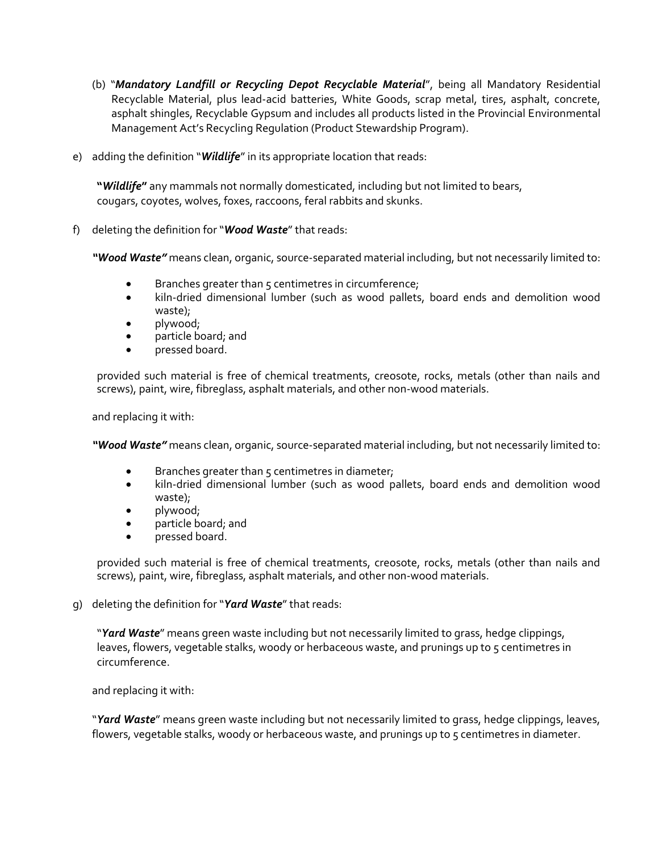- (b) "*Mandatory Landfill or Recycling Depot Recyclable Material*", being all Mandatory Residential Recyclable Material, plus lead-acid batteries, White Goods, scrap metal, tires, asphalt, concrete, asphalt shingles, Recyclable Gypsum and includes all products listed in the Provincial Environmental Management Act's Recycling Regulation (Product Stewardship Program).
- e) adding the definition "*Wildlife*" in its appropriate location that reads:

**"***Wildlife***"** any mammals not normally domesticated, including but not limited to bears, cougars, coyotes, wolves, foxes, raccoons, feral rabbits and skunks.

f) deleting the definition for "*Wood Waste*" that reads:

*"Wood Waste"* means clean, organic, source-separated material including, but not necessarily limited to:

- **•** Branches greater than 5 centimetres in circumference;
- kiln-dried dimensional lumber (such as wood pallets, board ends and demolition wood waste);
- plywood;
- particle board; and
- pressed board.

provided such material is free of chemical treatments, creosote, rocks, metals (other than nails and screws), paint, wire, fibreglass, asphalt materials, and other non-wood materials.

and replacing it with:

*"Wood Waste"* means clean, organic, source-separated material including, but not necessarily limited to:

- $\bullet$  Branches greater than  $\varsigma$  centimetres in diameter;
- kiln-dried dimensional lumber (such as wood pallets, board ends and demolition wood waste);
- plywood;
- particle board; and
- pressed board.

provided such material is free of chemical treatments, creosote, rocks, metals (other than nails and screws), paint, wire, fibreglass, asphalt materials, and other non-wood materials.

g) deleting the definition for "*Yard Waste*"that reads:

"*Yard Waste*" means green waste including but not necessarily limited to grass, hedge clippings, leaves, flowers, vegetable stalks, woody or herbaceous waste, and prunings up to 5 centimetres in circumference.

and replacing it with:

"*Yard Waste*" means green waste including but not necessarily limited to grass, hedge clippings, leaves, flowers, vegetable stalks, woody or herbaceous waste, and prunings up to 5 centimetres in diameter.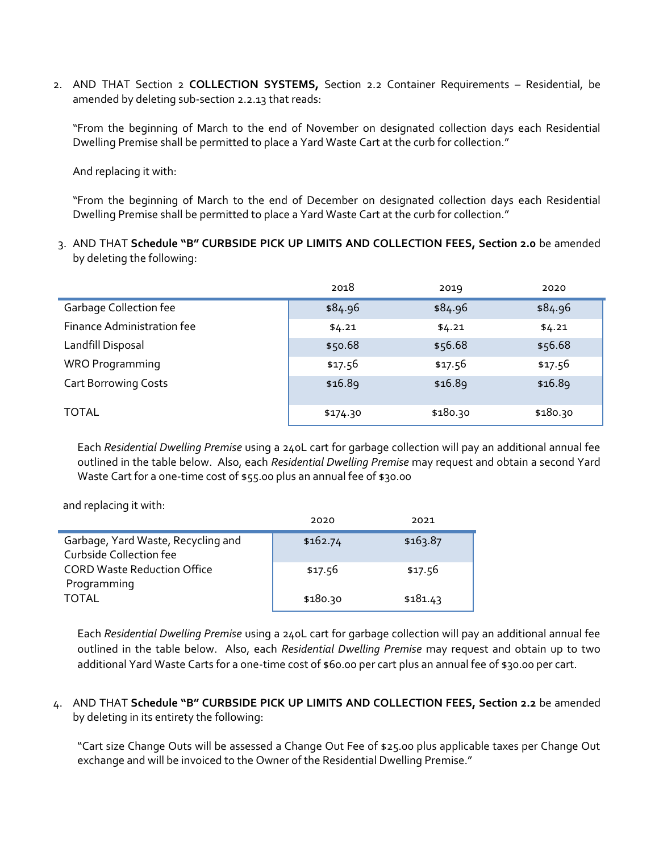2. AND THAT Section 2 **COLLECTION SYSTEMS,** Section 2.2 Container Requirements – Residential, be amended by deleting sub-section 2.2.13 that reads:

"From the beginning of March to the end of November on designated collection days each Residential Dwelling Premise shall be permitted to place a Yard Waste Cart at the curb for collection."

And replacing it with:

"From the beginning of March to the end of December on designated collection days each Residential Dwelling Premise shall be permitted to place a Yard Waste Cart at the curb for collection."

3. AND THAT **Schedule "B" CURBSIDE PICK UP LIMITS AND COLLECTION FEES, Section 2.0** be amended by deleting the following:

|                               | 2018     | 2019     | 2020     |
|-------------------------------|----------|----------|----------|
| <b>Garbage Collection fee</b> | \$84.96  | \$84.96  | \$84.96  |
| Finance Administration fee    | \$4.21   | \$4.21   | \$4.21   |
| Landfill Disposal             | \$50.68  | \$56.68  | \$56.68  |
| <b>WRO Programming</b>        | \$17.56  | \$17.56  | \$17.56  |
| <b>Cart Borrowing Costs</b>   | \$16.89  | \$16.89  | \$16.89  |
| <b>TOTAL</b>                  | \$174.30 | \$180.30 | \$180.30 |

Each *Residential Dwelling Premise* using a 240L cart for garbage collection will pay an additional annual fee outlined in the table below. Also, each *Residential Dwelling Premise* may request and obtain a second Yard Waste Cart for a one-time cost of \$55.00 plus an annual fee of \$30.00

and replacing it with:

|                                                               | 2020     | 2021     |
|---------------------------------------------------------------|----------|----------|
| Garbage, Yard Waste, Recycling and<br>Curbside Collection fee | \$162.74 | \$163.87 |
| <b>CORD Waste Reduction Office</b><br>Programming             | \$17.56  | \$17.56  |
| TOTAL                                                         | \$180.30 | \$181.43 |

Each *Residential Dwelling Premise* using a 240L cart for garbage collection will pay an additional annual fee outlined in the table below. Also, each *Residential Dwelling Premise* may request and obtain up to two additional Yard Waste Carts for a one-time cost of \$60.00 per cart plus an annual fee of \$30.00 per cart.

4. AND THAT **Schedule "B" CURBSIDE PICK UP LIMITS AND COLLECTION FEES, Section 2.2** be amended by deleting in its entirety the following:

"Cart size Change Outs will be assessed a Change Out Fee of \$25.00 plus applicable taxes per Change Out exchange and will be invoiced to the Owner of the Residential Dwelling Premise."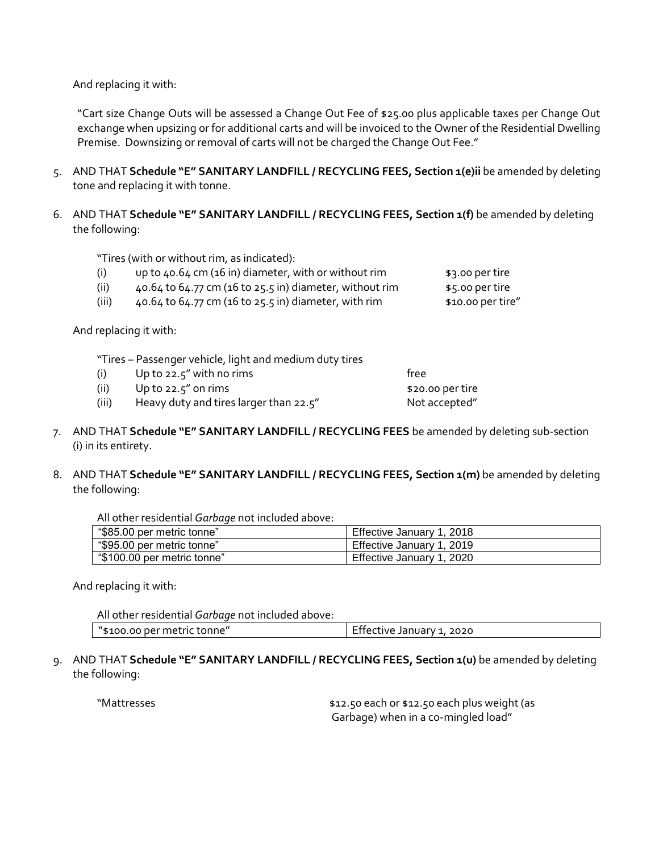And replacing it with:

"Cart size Change Outs will be assessed a Change Out Fee of \$25.00 plus applicable taxes per Change Out exchange when upsizing or for additional carts and will be invoiced to the Owner of the Residential Dwelling Premise. Downsizing or removal of carts will not be charged the Change Out Fee."

- 5. AND THAT **Schedule "E" SANITARY LANDFILL / RECYCLING FEES, Section 1(e)ii** be amended by deleting tone and replacing it with tonne.
- 6. AND THAT **Schedule "E" SANITARY LANDFILL / RECYCLING FEES, Section 1(f)** be amended by deleting the following:

"Tires (with or without rim, as indicated):

(i)  $up to 40.64 cm (16 in) diameter, with or without rim$   $$3.00 per tire$ 

(ii)  $40.64$  to  $64.77$  cm (16 to 25.5 in) diameter, without rim  $\qquad\qquad$  \$5.00 per tire

(iii)  $40.64$  to  $64.77$  cm (16 to  $25.5$  in) diameter, with rim  $$10.00$  per tire"

And replacing it with:

"Tires – Passenger vehicle, light and medium duty tires

- $(i)$  Up to 22.5" with no rims free
- (ii) Up to  $22.5''$  on rims  $$20.00$  per tire
- (iii) Heavy duty and tires larger than 22.5" Not accepted"
- 7. AND THAT **Schedule "E" SANITARY LANDFILL / RECYCLING FEES** be amended by deleting sub-section (i) in its entirety.
- 8. AND THAT **Schedule "E" SANITARY LANDFILL / RECYCLING FEES, Section 1(m)** be amended by deleting the following:

All other residential *Garbage* not included above:

| "\$85.00 per metric tonne" | Effective January 1, 2018 |
|----------------------------|---------------------------|
| "\$95.00 per metric tonne" | Effective January 1, 2019 |
| \$100.00 per metric tonne" | Effective January 1, 2020 |

And replacing it with:

All other residential *Garbage* not included above:

| "\$100.00 per metric tonne" | Effective January 1, 2020 |
|-----------------------------|---------------------------|
|-----------------------------|---------------------------|

9. AND THAT **Schedule "E" SANITARY LANDFILL / RECYCLING FEES, Section 1(u)** be amended by deleting the following:

"Mattresses \$12.50 each or \$12.50 each plus weight (as Garbage) when in a co-mingled load"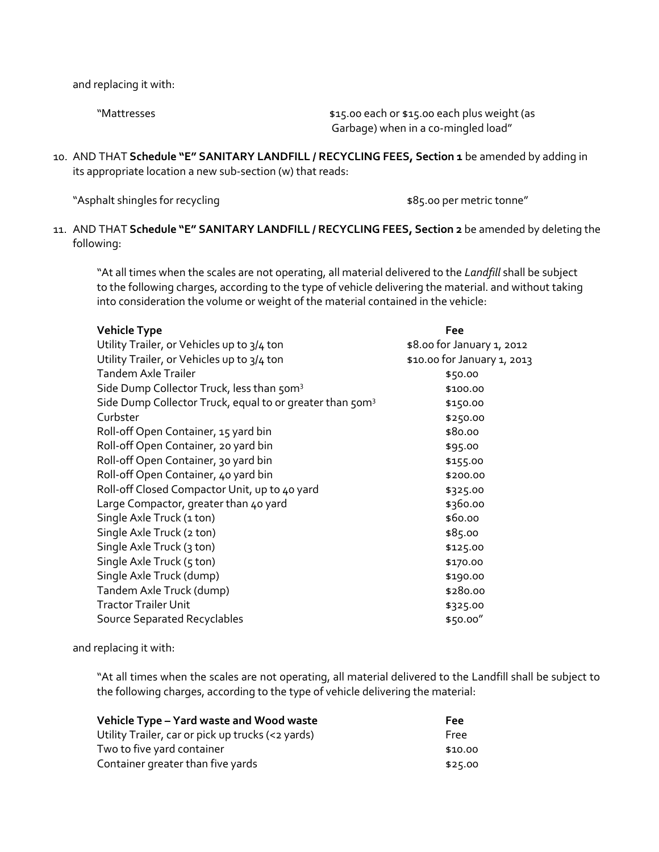and replacing it with:

"Mattresses "Mattresses" basic of \$15.00 each or \$15.00 each plus weight (as Garbage) when in a co-mingled load"

10. AND THAT **Schedule "E" SANITARY LANDFILL / RECYCLING FEES, Section 1** be amended by adding in its appropriate location a new sub-section (w) that reads:

"Asphalt shingles for recycling  $\bullet$  "Asphalt shingles for recycling  $\bullet$ "

11. AND THAT **Schedule "E" SANITARY LANDFILL / RECYCLING FEES, Section 2** be amended by deleting the following:

"At all times when the scales are not operating, all material delivered to the *Landfill* shall be subject to the following charges, according to the type of vehicle delivering the material. and without taking into consideration the volume or weight of the material contained in the vehicle:

| <b>Vehicle Type</b>                                                  | Fee                         |
|----------------------------------------------------------------------|-----------------------------|
| Utility Trailer, or Vehicles up to 3/4 ton                           | \$8.00 for January 1, 2012  |
| Utility Trailer, or Vehicles up to 3/4 ton                           | \$10.00 for January 1, 2013 |
| <b>Tandem Axle Trailer</b>                                           | \$50.00                     |
| Side Dump Collector Truck, less than 50m <sup>3</sup>                | \$100.00                    |
| Side Dump Collector Truck, equal to or greater than 50m <sup>3</sup> | \$150.00                    |
| Curbster                                                             | \$250.00                    |
| Roll-off Open Container, 15 yard bin                                 | \$80.00                     |
| Roll-off Open Container, 20 yard bin                                 | \$95.00                     |
| Roll-off Open Container, 30 yard bin                                 | \$155.00                    |
| Roll-off Open Container, 40 yard bin                                 | \$200.00                    |
| Roll-off Closed Compactor Unit, up to 40 yard                        | \$325.00                    |
| Large Compactor, greater than 40 yard                                | \$360.00                    |
| Single Axle Truck (1 ton)                                            | \$60.00                     |
| Single Axle Truck (2 ton)                                            | \$85.00                     |
| Single Axle Truck (3 ton)                                            | \$125.00                    |
| Single Axle Truck (5 ton)                                            | \$170.00                    |
| Single Axle Truck (dump)                                             | \$190.00                    |
| Tandem Axle Truck (dump)                                             | \$280.00                    |
| <b>Tractor Trailer Unit</b>                                          | \$325.00                    |
| Source Separated Recyclables                                         | \$50.00"                    |

and replacing it with:

"At all times when the scales are not operating, all material delivered to the Landfill shall be subject to the following charges, according to the type of vehicle delivering the material:

| Vehicle Type - Yard waste and Wood waste          | Fee     |
|---------------------------------------------------|---------|
| Utility Trailer, car or pick up trucks (<2 yards) | Free    |
| Two to five yard container                        | \$10.00 |
| Container greater than five yards                 | \$25.00 |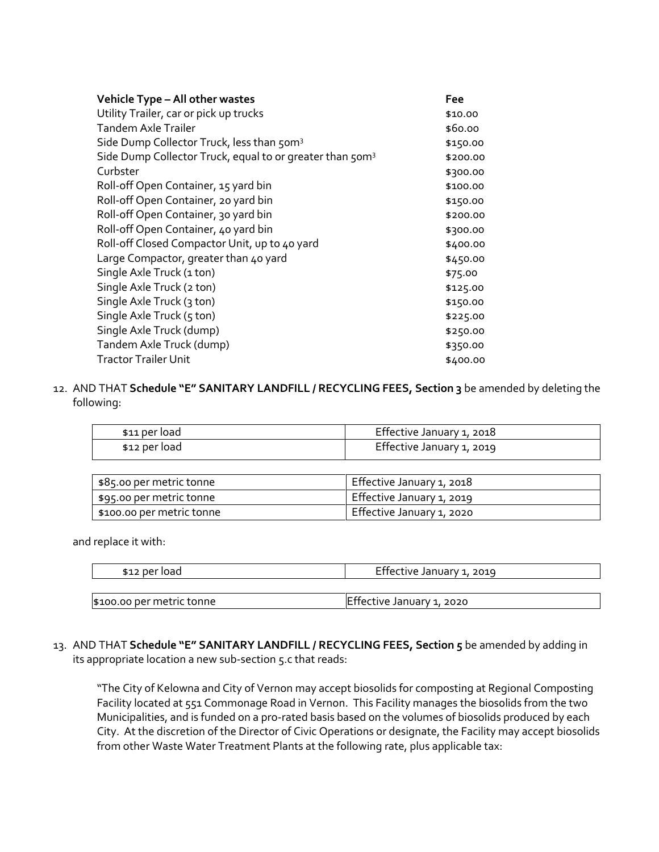| Vehicle Type - All other wastes                                      | Fee      |
|----------------------------------------------------------------------|----------|
| Utility Trailer, car or pick up trucks                               | \$10.00  |
| Tandem Axle Trailer                                                  | \$60.00  |
| Side Dump Collector Truck, less than 50m <sup>3</sup>                | \$150.00 |
| Side Dump Collector Truck, equal to or greater than 50m <sup>3</sup> | \$200.00 |
| Curbster                                                             | \$300.00 |
| Roll-off Open Container, 15 yard bin                                 | \$100.00 |
| Roll-off Open Container, 20 yard bin                                 | \$150.00 |
| Roll-off Open Container, 30 yard bin                                 | \$200.00 |
| Roll-off Open Container, 40 yard bin                                 | \$300.00 |
| Roll-off Closed Compactor Unit, up to 40 yard                        | \$400.00 |
| Large Compactor, greater than 40 yard                                | \$450.00 |
| Single Axle Truck (1 ton)                                            | \$75.00  |
| Single Axle Truck (2 ton)                                            | \$125.00 |
| Single Axle Truck (3 ton)                                            | \$150.00 |
| Single Axle Truck (5 ton)                                            | \$225.00 |
| Single Axle Truck (dump)                                             | \$250.00 |
| Tandem Axle Truck (dump)                                             | \$350.00 |
| <b>Tractor Trailer Unit</b>                                          | \$400.00 |

12. AND THAT **Schedule "E" SANITARY LANDFILL / RECYCLING FEES, Section 3** be amended by deleting the following:

| \$11 per load | Effective January 1, 2018 |
|---------------|---------------------------|
| \$12 per load | Effective January 1, 2019 |

| \$85.00 per metric tonne  | Effective January 1, 2018 |
|---------------------------|---------------------------|
| \$95.00 per metric tonne  | Effective January 1, 2019 |
| \$100.00 per metric tonne | Effective January 1, 2020 |

and replace it with:

| \$12 per load             | Effective January 1, 2019 |
|---------------------------|---------------------------|
|                           |                           |
| \$100.00 per metric tonne | Effective January 1, 2020 |

13. AND THAT **Schedule "E" SANITARY LANDFILL / RECYCLING FEES, Section 5** be amended by adding in its appropriate location a new sub-section 5.c that reads:

"The City of Kelowna and City of Vernon may accept biosolids for composting at Regional Composting Facility located at 551 Commonage Road in Vernon. This Facility manages the biosolids from the two Municipalities, and is funded on a pro-rated basis based on the volumes of biosolids produced by each City. At the discretion of the Director of Civic Operations or designate, the Facility may accept biosolids from other Waste Water Treatment Plants at the following rate, plus applicable tax: